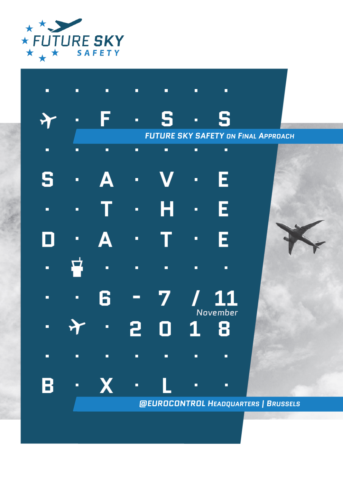

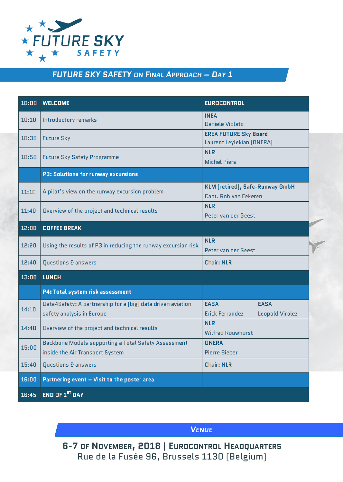![](_page_1_Picture_0.jpeg)

## *FUTURE SKY SAFETY ON FINAL APPROACH – DAY 1*

| 10:00 | <b>WELCOME</b>                                                                           | <b>EUROCONTROL</b>                                                      |
|-------|------------------------------------------------------------------------------------------|-------------------------------------------------------------------------|
| 10:10 | Introductory remarks                                                                     | <b>INEA</b><br>Daniele Violato                                          |
| 10:30 | <b>Future Sky</b>                                                                        | <b>EREA FUTURE Sky Board</b><br>Laurent Leylekian (ONERA)               |
| 10:50 | <b>Future Sky Safety Programme</b>                                                       | <b>NLR</b><br><b>Michel Piers</b>                                       |
|       | <b>P3: Solutions for runway excursions</b>                                               |                                                                         |
| 11:10 | A pilot's view on the runway excursion problem                                           | KLM (retired), Safe-Runway GmbH<br>Capt. Rob van Eekeren                |
| 11:40 | Overview of the project and technical results                                            | <b>NLR</b><br>Peter van der Geest                                       |
| 12:00 | <b>COFFEE BREAK</b>                                                                      |                                                                         |
| 12:20 | Using the results of P3 in reducing the runway excursion risk                            | <b>NLR</b><br>Peter van der Geest                                       |
| 12:40 | Questions & answers                                                                      | <b>Chair: NLR</b>                                                       |
| 13:00 | <b>LUNCH</b>                                                                             |                                                                         |
|       | P4: Total system risk assessment                                                         |                                                                         |
| 14:10 | Data4Safety: A partnership for a [big] data driven aviation<br>safety analysis in Europe | <b>EASA</b><br><b>EASA</b><br><b>Erick Ferrandez</b><br>Leopold Virolez |
| 14:40 | Overview of the project and technical results                                            | <b>NLR</b><br><b>Wilfred Rouwhorst</b>                                  |
| 15:00 | Backbone Models supporting a Total Safety Assessment<br>inside the Air Transport System  | <b>ONERA</b><br><b>Pierre Bieber</b>                                    |
| 15:40 | Questions & answers                                                                      | <b>Chair: NLR</b>                                                       |
| 16:00 | Partnering event - Visit to the poster area                                              |                                                                         |
| 16:45 | END OF 1 <sup>ST</sup> DAY                                                               |                                                                         |

*VENUE*

**6-7 OF NOVEMBER, 2018 | EUROCONTROL HEADQUARTERS** Rue de la Fusée 96, Brussels 1130 (Belgium)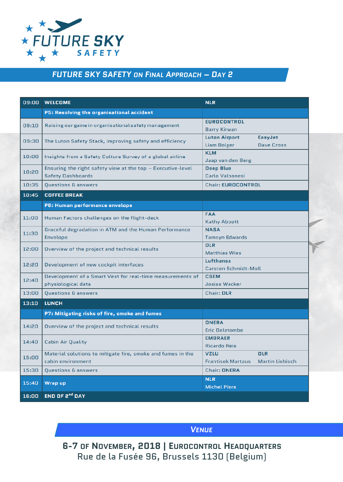![](_page_2_Picture_0.jpeg)

## *FUTURE SKY SAFETY ON FINAL APPROACH – DAY 2*

|       | 09:00 WELCOME                                                 | <b>NLR</b>                                  |
|-------|---------------------------------------------------------------|---------------------------------------------|
|       | P5: Resolving the organisational accident                     |                                             |
| 09:10 | Raising our game in organisational safety management          | <b>EUROCONTROL</b>                          |
|       |                                                               | <b>Barry Kirwan</b>                         |
| 09:30 | The Luton Safety Stack, improving safety and efficiency       | <b>Luton Airport</b><br>EasyJet             |
|       |                                                               | <b>Liam Bolger</b><br><b>Dave Cross</b>     |
| 10:00 | Insights from a Safety Culture Survey of a global airline     | <b>KLM</b>                                  |
|       |                                                               | Jaap van den Berg                           |
| 10:20 | Ensuring the right safety view at the top $-$ Executive-level | <b>Deep Blue</b>                            |
|       | <b>Safety Dashboards</b>                                      | Carlo Valbonesi                             |
| 10:35 | Questions & answers                                           | <b>Chair: EUROCONTROL</b>                   |
| 10:45 | <b>COFFEE BREAK</b>                                           |                                             |
|       | P6: Human performance envelope                                |                                             |
|       | Human Factors challenges on the flight-deck                   | <b>FAA</b>                                  |
| 11:00 |                                                               | <b>Kathy Abbott</b>                         |
| 11:30 | Graceful degradation in ATM and the Human Performance         | <b>NASA</b>                                 |
|       | Envelope                                                      | <b>Tamsyn Edwards</b>                       |
| 12:00 | Overview of the project and technical results                 | <b>DLR</b>                                  |
|       |                                                               | <b>Matthias Wies</b>                        |
| 12:20 | Development of new cockpit interfaces                         | Lufthansa                                   |
|       |                                                               | <b>Carsten Schmidt-Moll</b>                 |
| 12:40 | Development of a Smart Vest for real-time measurements of     | <b>CSEM</b>                                 |
|       | physiological data                                            | <b>Josias Wacker</b>                        |
| 13:00 | <b>Questions &amp; answers</b>                                | <b>Chair: DLR</b>                           |
| 13:10 | <b>LUNCH</b>                                                  |                                             |
|       | P7: Mitigating risks of fire, smoke and fumes                 |                                             |
| 14:20 | Overview of the project and technical results                 | <b>ONERA</b>                                |
|       |                                                               | <b>Eric Deletombe</b>                       |
| 14:40 | <b>Cabin Air Quality</b>                                      | <b>EMBRAER</b>                              |
|       |                                                               | <b>Ricardo Reis</b>                         |
| 15:00 | Material solutions to mitigate fire, smoke and fumes in the   | <b>DLR</b><br><b>VZLU</b>                   |
|       | cabin environment                                             | <b>Frantisek Martaus</b><br>Martin Liebisch |
| 15:30 | Questions & answers                                           | <b>Chair: ONERA</b>                         |
| 15:40 | Wrap up                                                       | <b>NLR</b>                                  |
|       |                                                               | <b>Michel Piers</b>                         |
| 16:00 | END OF 2 <sup>nd</sup> DAY                                    |                                             |

*VENUE*

**6-7 OF NOVEMBER, 2018 | EUROCONTROL HEADQUARTERS** Rue de la Fusée 96, Brussels 1130 (Belgium)